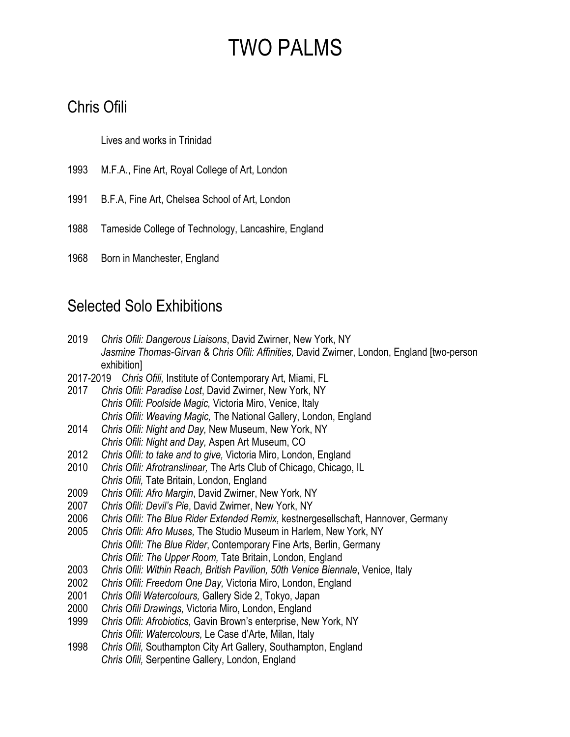#### Chris Ofili

Lives and works in Trinidad

- 1993 M.F.A., Fine Art, Royal College of Art, London
- 1991 B.F.A, Fine Art, Chelsea School of Art, London
- 1988 Tameside College of Technology, Lancashire, England
- 1968 Born in Manchester, England

#### Selected Solo Exhibitions

- 2019 *Chris Ofili: Dangerous Liaisons*, David Zwirner, New York, NY *Jasmine Thomas-Girvan & Chris Ofili: Affinities,* David Zwirner, London, England [two-person exhibition]
- 2017-2019 *Chris Ofili,* Institute of Contemporary Art, Miami, FL
- 2017 *Chris Ofili: Paradise Lost*, David Zwirner, New York, NY *Chris Ofili: Poolside Magic,* Victoria Miro, Venice, Italy *Chris Ofili: Weaving Magic,* The National Gallery, London, England
- 2014 *Chris Ofili: Night and Day,* New Museum, New York, NY *Chris Ofili: Night and Day,* Aspen Art Museum, CO
- 2012 *Chris Ofili: to take and to give,* Victoria Miro, London, England
- 2010 *Chris Ofili: Afrotranslinear,* The Arts Club of Chicago, Chicago, IL *Chris Ofili,* Tate Britain, London, England
- 2009 *Chris Ofili: Afro Margin*, David Zwirner, New York, NY
- 2007 *Chris Ofili: Devil's Pie*, David Zwirner, New York, NY
- 2006 *Chris Ofili: The Blue Rider Extended Remix,* kestnergesellschaft, Hannover, Germany
- 2005 *Chris Ofili: Afro Muses,* The Studio Museum in Harlem, New York, NY *Chris Ofili: The Blue Rider*, Contemporary Fine Arts, Berlin, Germany *Chris Ofili: The Upper Room,* Tate Britain, London, England
- 2003 *Chris Ofili: Within Reach, British Pavilion, 50th Venice Biennale*, Venice, Italy
- 2002 *Chris Ofili: Freedom One Day,* Victoria Miro, London, England
- 2001 *Chris Ofili Watercolours,* Gallery Side 2, Tokyo, Japan
- 2000 *Chris Ofili Drawings,* Victoria Miro, London, England
- 1999 *Chris Ofili: Afrobiotics,* Gavin Brown's enterprise, New York, NY *Chris Ofili: Watercolours,* Le Case d'Arte, Milan, Italy
- 1998 *Chris Ofili,* Southampton City Art Gallery, Southampton, England *Chris Ofili,* Serpentine Gallery, London, England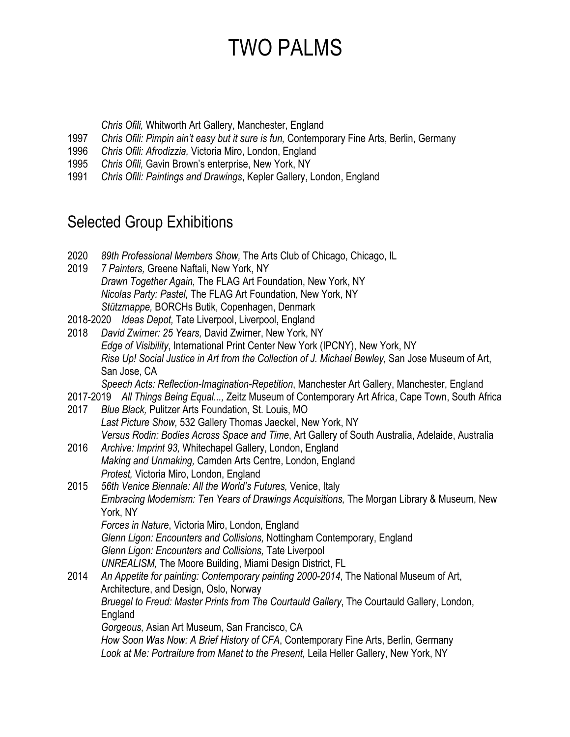*Chris Ofili,* Whitworth Art Gallery, Manchester, England

- 1997 *Chris Ofili: Pimpin ain't easy but it sure is fun,* Contemporary Fine Arts, Berlin, Germany
- 1996 *Chris Ofili: Afrodizzia,* Victoria Miro, London, England
- 1995 *Chris Ofili,* Gavin Brown's enterprise, New York, NY
- 1991 *Chris Ofili: Paintings and Drawings*, Kepler Gallery, London, England

#### Selected Group Exhibitions

- 2020 *89th Professional Members Show,* The Arts Club of Chicago, Chicago, IL
- 2019 *7 Painters,* Greene Naftali, New York, NY *Drawn Together Again,* The FLAG Art Foundation, New York, NY *Nicolas Party: Pastel,* The FLAG Art Foundation, New York, NY *Stützmappe,* BORCHs Butik, Copenhagen, Denmark
- 2018-2020 *Ideas Depot,* Tate Liverpool, Liverpool, England
- 2018 *David Zwirner: 25 Years,* David Zwirner, New York, NY *Edge of Visibility*, International Print Center New York (IPCNY), New York, NY *Rise Up! Social Justice in Art from the Collection of J. Michael Bewley,* San Jose Museum of Art, San Jose, CA

*Speech Acts: Reflection-Imagination-Repetition*, Manchester Art Gallery, Manchester, England

- 2017-2019 *All Things Being Equal...,* Zeitz Museum of Contemporary Art Africa, Cape Town, South Africa 2017 *Blue Black,* Pulitzer Arts Foundation, St. Louis, MO
- *Last Picture Show,* 532 Gallery Thomas Jaeckel, New York, NY *Versus Rodin: Bodies Across Space and Time*, Art Gallery of South Australia, Adelaide, Australia
- 2016 *Archive: Imprint 93,* Whitechapel Gallery, London, England *Making and Unmaking,* Camden Arts Centre, London, England *Protest,* Victoria Miro, London, England
- 2015 *56th Venice Biennale: All the World's Futures,* Venice, Italy *Embracing Modernism: Ten Years of Drawings Acquisitions,* The Morgan Library & Museum, New York, NY *Forces in Nature*, Victoria Miro, London, England *Glenn Ligon: Encounters and Collisions,* Nottingham Contemporary, England *Glenn Ligon: Encounters and Collisions,* Tate Liverpool
	- *UNREALISM,* The Moore Building, Miami Design District, FL
- 2014 *An Appetite for painting: Contemporary painting 2000-2014*, The National Museum of Art, Architecture, and Design, Oslo, Norway *Bruegel to Freud: Master Prints from The Courtauld Gallery*, The Courtauld Gallery, London, England *Gorgeous,* Asian Art Museum, San Francisco, CA *How Soon Was Now: A Brief History of CFA*, Contemporary Fine Arts, Berlin, Germany *Look at Me: Portraiture from Manet to the Present,* Leila Heller Gallery, New York, NY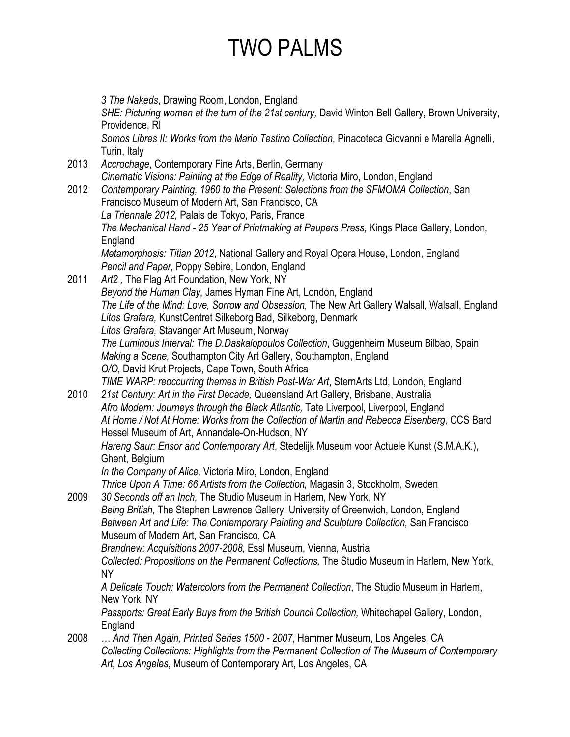*3 The Nakeds*, Drawing Room, London, England *SHE: Picturing women at the turn of the 21st century,* David Winton Bell Gallery, Brown University, Providence, RI *Somos Libres II: Works from the Mario Testino Collection*, Pinacoteca Giovanni e Marella Agnelli, Turin, Italy 2013 *Accrochage*, Contemporary Fine Arts, Berlin, Germany *Cinematic Visions: Painting at the Edge of Reality,* Victoria Miro, London, England 2012 *Contemporary Painting, 1960 to the Present: Selections from the SFMOMA Collection*, San Francisco Museum of Modern Art, San Francisco, CA *La Triennale 2012,* Palais de Tokyo, Paris, France *The Mechanical Hand - 25 Year of Printmaking at Paupers Press,* Kings Place Gallery, London, England *Metamorphosis: Titian 2012*, National Gallery and Royal Opera House, London, England *Pencil and Paper,* Poppy Sebire, London, England 2011 *Art2 ,* The Flag Art Foundation, New York, NY *Beyond the Human Clay,* James Hyman Fine Art, London, England *The Life of the Mind: Love, Sorrow and Obsession,* The New Art Gallery Walsall, Walsall, England *Litos Grafera,* KunstCentret Silkeborg Bad, Silkeborg, Denmark *Litos Grafera,* Stavanger Art Museum, Norway *The Luminous Interval: The D.Daskalopoulos Collection*, Guggenheim Museum Bilbao, Spain *Making a Scene,* Southampton City Art Gallery, Southampton, England *O/O,* David Krut Projects, Cape Town, South Africa *TIME WARP: reoccurring themes in British Post-War Art*, SternArts Ltd, London, England 2010 *21st Century: Art in the First Decade,* Queensland Art Gallery, Brisbane, Australia *Afro Modern: Journeys through the Black Atlantic,* Tate Liverpool, Liverpool, England *At Home / Not At Home: Works from the Collection of Martin and Rebecca Eisenberg,* CCS Bard Hessel Museum of Art, Annandale-On-Hudson, NY *Hareng Saur: Ensor and Contemporary Art*, Stedelijk Museum voor Actuele Kunst (S.M.A.K.), Ghent, Belgium *In the Company of Alice,* Victoria Miro, London, England *Thrice Upon A Time: 66 Artists from the Collection,* Magasin 3, Stockholm, Sweden 2009 *30 Seconds off an Inch,* The Studio Museum in Harlem, New York, NY *Being British,* The Stephen Lawrence Gallery, University of Greenwich, London, England *Between Art and Life: The Contemporary Painting and Sculpture Collection,* San Francisco Museum of Modern Art, San Francisco, CA *Brandnew: Acquisitions 2007-2008,* Essl Museum, Vienna, Austria *Collected: Propositions on the Permanent Collections,* The Studio Museum in Harlem, New York, NY *A Delicate Touch: Watercolors from the Permanent Collection*, The Studio Museum in Harlem, New York, NY *Passports: Great Early Buys from the British Council Collection,* Whitechapel Gallery, London, England 2008 *… And Then Again, Printed Series 1500 - 2007*, Hammer Museum, Los Angeles, CA *Collecting Collections: Highlights from the Permanent Collection of The Museum of Contemporary Art, Los Angeles*, Museum of Contemporary Art, Los Angeles, CA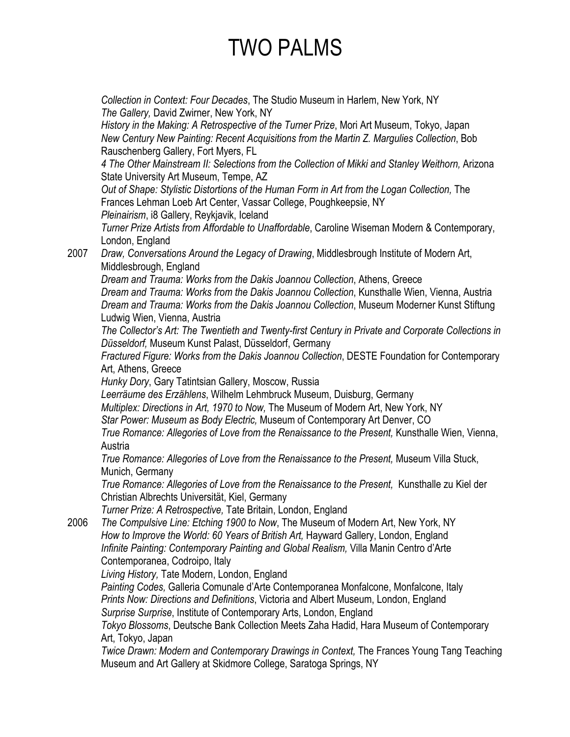*Collection in Context: Four Decades*, The Studio Museum in Harlem, New York, NY *The Gallery,* David Zwirner, New York, NY *History in the Making: A Retrospective of the Turner Prize*, Mori Art Museum, Tokyo, Japan *New Century New Painting: Recent Acquisitions from the Martin Z. Margulies Collection*, Bob Rauschenberg Gallery, Fort Myers, FL *4 The Other Mainstream II: Selections from the Collection of Mikki and Stanley Weithorn,* Arizona State University Art Museum, Tempe, AZ *Out of Shape: Stylistic Distortions of the Human Form in Art from the Logan Collection,* The Frances Lehman Loeb Art Center, Vassar College, Poughkeepsie, NY *Pleinairism*, i8 Gallery, Reykjavik, Iceland *Turner Prize Artists from Affordable to Unaffordable*, Caroline Wiseman Modern & Contemporary, London, England 2007 *Draw, Conversations Around the Legacy of Drawing*, Middlesbrough Institute of Modern Art, Middlesbrough, England *Dream and Trauma: Works from the Dakis Joannou Collection*, Athens, Greece *Dream and Trauma: Works from the Dakis Joannou Collection*, Kunsthalle Wien, Vienna, Austria *Dream and Trauma: Works from the Dakis Joannou Collection*, Museum Moderner Kunst Stiftung Ludwig Wien, Vienna, Austria *The Collector's Art: The Twentieth and Twenty-first Century in Private and Corporate Collections in Düsseldorf,* Museum Kunst Palast, Düsseldorf, Germany *Fractured Figure: Works from the Dakis Joannou Collection*, DESTE Foundation for Contemporary Art, Athens, Greece *Hunky Dory*, Gary Tatintsian Gallery, Moscow, Russia *Leerräume des Erzählens*, Wilhelm Lehmbruck Museum, Duisburg, Germany *Multiplex: Directions in Art, 1970 to Now,* The Museum of Modern Art, New York, NY *Star Power: Museum as Body Electric,* Museum of Contemporary Art Denver, CO *True Romance: Allegories of Love from the Renaissance to the Present,* Kunsthalle Wien, Vienna, **Austria** *True Romance: Allegories of Love from the Renaissance to the Present,* Museum Villa Stuck, Munich, Germany *True Romance: Allegories of Love from the Renaissance to the Present,* Kunsthalle zu Kiel der Christian Albrechts Universität, Kiel, Germany *Turner Prize: A Retrospective,* Tate Britain, London, England 2006 *The Compulsive Line: Etching 1900 to Now*, The Museum of Modern Art, New York, NY *How to Improve the World: 60 Years of British Art,* Hayward Gallery, London, England *Infinite Painting: Contemporary Painting and Global Realism,* Villa Manin Centro d'Arte Contemporanea, Codroipo, Italy *Living History,* Tate Modern, London, England *Painting Codes,* Galleria Comunale d'Arte Contemporanea Monfalcone, Monfalcone, Italy *Prints Now: Directions and Definitions*, Victoria and Albert Museum, London, England *Surprise Surprise*, Institute of Contemporary Arts, London, England *Tokyo Blossoms*, Deutsche Bank Collection Meets Zaha Hadid, Hara Museum of Contemporary Art, Tokyo, Japan *Twice Drawn: Modern and Contemporary Drawings in Context,* The Frances Young Tang Teaching Museum and Art Gallery at Skidmore College, Saratoga Springs, NY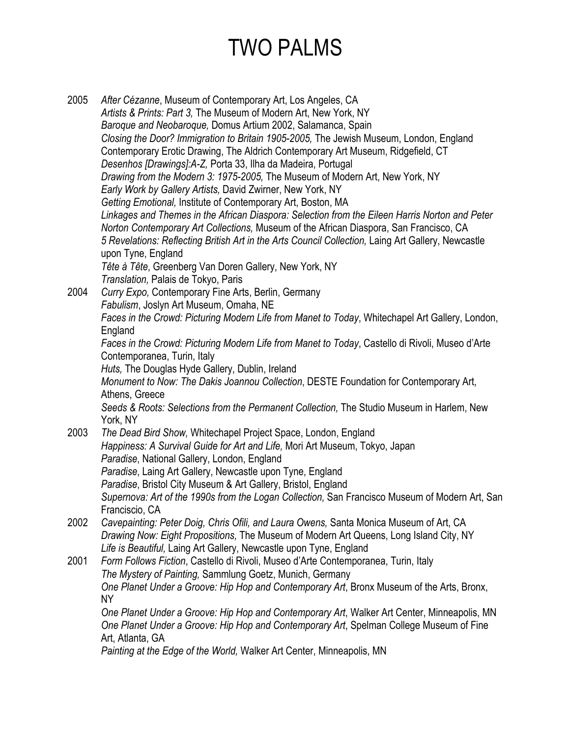2005 *After Cézanne*, Museum of Contemporary Art, Los Angeles, CA *Artists & Prints: Part 3,* The Museum of Modern Art, New York, NY *Baroque and Neobaroque,* Domus Artium 2002, Salamanca, Spain *Closing the Door? Immigration to Britain 1905-2005,* The Jewish Museum, London, England Contemporary Erotic Drawing, The Aldrich Contemporary Art Museum, Ridgefield, CT *Desenhos [Drawings]:A-Z,* Porta 33, Ilha da Madeira, Portugal *Drawing from the Modern 3: 1975-2005,* The Museum of Modern Art, New York, NY *Early Work by Gallery Artists,* David Zwirner, New York, NY *Getting Emotional,* Institute of Contemporary Art, Boston, MA *Linkages and Themes in the African Diaspora: Selection from the Eileen Harris Norton and Peter Norton Contemporary Art Collections,* Museum of the African Diaspora, San Francisco, CA *5 Revelations: Reflecting British Art in the Arts Council Collection,* Laing Art Gallery, Newcastle upon Tyne, England *Tête à Tête*, Greenberg Van Doren Gallery, New York, NY *Translation,* Palais de Tokyo, Paris 2004 *Curry Expo,* Contemporary Fine Arts, Berlin, Germany *Fabulism*, Joslyn Art Museum, Omaha, NE *Faces in the Crowd: Picturing Modern Life from Manet to Today*, Whitechapel Art Gallery, London, **England** *Faces in the Crowd: Picturing Modern Life from Manet to Today*, Castello di Rivoli, Museo d'Arte Contemporanea, Turin, Italy *Huts,* The Douglas Hyde Gallery, Dublin, Ireland *Monument to Now: The Dakis Joannou Collection*, DESTE Foundation for Contemporary Art, Athens, Greece *Seeds & Roots: Selections from the Permanent Collection,* The Studio Museum in Harlem, New York, NY 2003 *The Dead Bird Show,* Whitechapel Project Space, London, England *Happiness: A Survival Guide for Art and Life,* Mori Art Museum, Tokyo, Japan *Paradise*, National Gallery, London, England *Paradise*, Laing Art Gallery, Newcastle upon Tyne, England *Paradise*, Bristol City Museum & Art Gallery, Bristol, England *Supernova: Art of the 1990s from the Logan Collection,* San Francisco Museum of Modern Art, San Franciscio, CA 2002 *Cavepainting: Peter Doig, Chris Ofili, and Laura Owens,* Santa Monica Museum of Art, CA *Drawing Now: Eight Propositions,* The Museum of Modern Art Queens, Long Island City, NY *Life is Beautiful,* Laing Art Gallery, Newcastle upon Tyne, England 2001 *Form Follows Fiction*, Castello di Rivoli, Museo d'Arte Contemporanea, Turin, Italy *The Mystery of Painting,* Sammlung Goetz, Munich, Germany *One Planet Under a Groove: Hip Hop and Contemporary Art*, Bronx Museum of the Arts, Bronx, NY *One Planet Under a Groove: Hip Hop and Contemporary Art*, Walker Art Center, Minneapolis, MN *One Planet Under a Groove: Hip Hop and Contemporary Art*, Spelman College Museum of Fine Art, Atlanta, GA *Painting at the Edge of the World,* Walker Art Center, Minneapolis, MN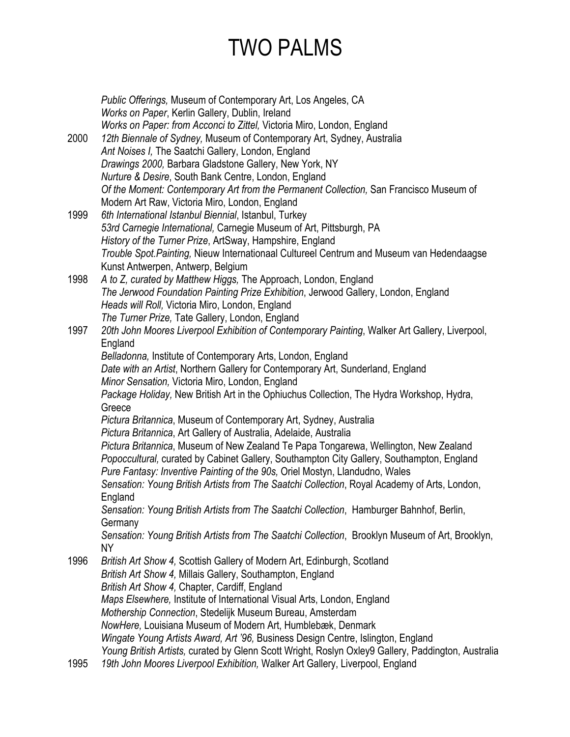*Public Offerings,* Museum of Contemporary Art, Los Angeles, CA *Works on Paper*, Kerlin Gallery, Dublin, Ireland *Works on Paper: from Acconci to Zittel,* Victoria Miro, London, England 2000 *12th Biennale of Sydney,* Museum of Contemporary Art, Sydney, Australia *Ant Noises I,* The Saatchi Gallery, London, England *Drawings 2000,* Barbara Gladstone Gallery, New York, NY *Nurture & Desire*, South Bank Centre, London, England *Of the Moment: Contemporary Art from the Permanent Collection,* San Francisco Museum of Modern Art Raw, Victoria Miro, London, England 1999 *6th International Istanbul Biennial*, Istanbul, Turkey *53rd Carnegie International,* Carnegie Museum of Art, Pittsburgh, PA *History of the Turner Prize*, ArtSway, Hampshire, England *Trouble Spot.Painting,* Nieuw Internationaal Cultureel Centrum and Museum van Hedendaagse Kunst Antwerpen, Antwerp, Belgium 1998 *A to Z, curated by Matthew Higgs,* The Approach, London, England *The Jerwood Foundation Painting Prize Exhibition*, Jerwood Gallery, London, England *Heads will Roll,* Victoria Miro, London, England *The Turner Prize,* Tate Gallery, London, England 1997 *20th John Moores Liverpool Exhibition of Contemporary Painting*, Walker Art Gallery, Liverpool, England *Belladonna,* Institute of Contemporary Arts, London, England *Date with an Artist*, Northern Gallery for Contemporary Art, Sunderland, England *Minor Sensation,* Victoria Miro, London, England *Package Holiday,* New British Art in the Ophiuchus Collection, The Hydra Workshop, Hydra, Greece *Pictura Britannica*, Museum of Contemporary Art, Sydney, Australia *Pictura Britannica*, Art Gallery of Australia, Adelaide, Australia *Pictura Britannica*, Museum of New Zealand Te Papa Tongarewa, Wellington, New Zealand *Popoccultural,* curated by Cabinet Gallery, Southampton City Gallery, Southampton, England *Pure Fantasy: Inventive Painting of the 90s,* Oriel Mostyn, Llandudno, Wales *Sensation: Young British Artists from The Saatchi Collection*, Royal Academy of Arts, London, England *Sensation: Young British Artists from The Saatchi Collection*, Hamburger Bahnhof, Berlin, **Germany** *Sensation: Young British Artists from The Saatchi Collection*, Brooklyn Museum of Art, Brooklyn, NY 1996 *British Art Show 4,* Scottish Gallery of Modern Art, Edinburgh, Scotland *British Art Show 4,* Millais Gallery, Southampton, England *British Art Show 4,* Chapter, Cardiff, England *Maps Elsewhere,* Institute of International Visual Arts, London, England *Mothership Connection*, Stedelijk Museum Bureau, Amsterdam *NowHere,* Louisiana Museum of Modern Art, Humblebæk, Denmark *Wingate Young Artists Award, Art '96,* Business Design Centre, Islington, England *Young British Artists,* curated by Glenn Scott Wright, Roslyn Oxley9 Gallery, Paddington, Australia

1995 *19th John Moores Liverpool Exhibition,* Walker Art Gallery, Liverpool, England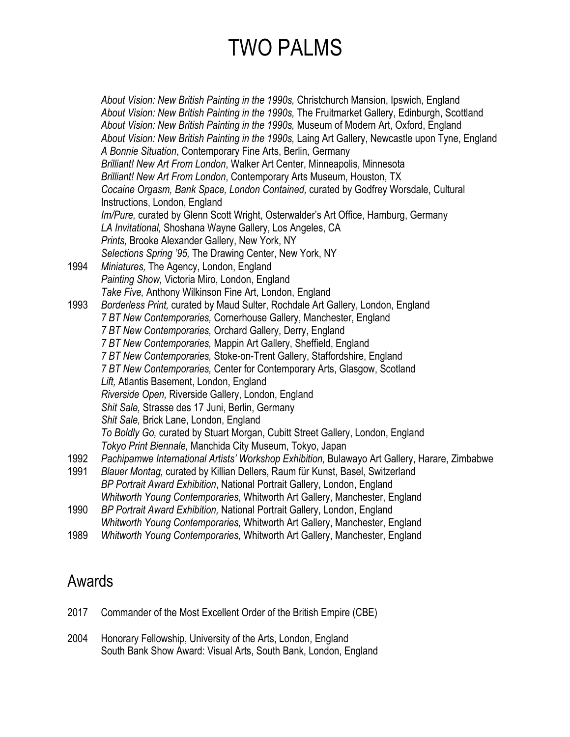*About Vision: New British Painting in the 1990s,* Christchurch Mansion, Ipswich, England *About Vision: New British Painting in the 1990s,* The Fruitmarket Gallery, Edinburgh, Scottland *About Vision: New British Painting in the 1990s,* Museum of Modern Art, Oxford, England *About Vision: New British Painting in the 1990s,* Laing Art Gallery, Newcastle upon Tyne, England *A Bonnie Situation*, Contemporary Fine Arts, Berlin, Germany *Brilliant! New Art From London*, Walker Art Center, Minneapolis, Minnesota *Brilliant! New Art From London*, Contemporary Arts Museum, Houston, TX *Cocaine Orgasm, Bank Space, London Contained,* curated by Godfrey Worsdale, Cultural Instructions, London, England *Im/Pure,* curated by Glenn Scott Wright, Osterwalder's Art Office, Hamburg, Germany *LA Invitational,* Shoshana Wayne Gallery, Los Angeles, CA *Prints,* Brooke Alexander Gallery, New York, NY *Selections Spring '95,* The Drawing Center, New York, NY 1994 *Miniatures,* The Agency, London, England *Painting Show,* Victoria Miro, London, England *Take Five,* Anthony Wilkinson Fine Art, London, England 1993 *Borderless Print,* curated by Maud Sulter, Rochdale Art Gallery, London, England *7 BT New Contemporaries,* Cornerhouse Gallery, Manchester, England *7 BT New Contemporaries,* Orchard Gallery, Derry, England *7 BT New Contemporaries,* Mappin Art Gallery, Sheffield, England *7 BT New Contemporaries,* Stoke-on-Trent Gallery, Staffordshire, England *7 BT New Contemporaries,* Center for Contemporary Arts, Glasgow, Scotland *Lift,* Atlantis Basement, London, England *Riverside Open,* Riverside Gallery, London, England *Shit Sale,* Strasse des 17 Juni, Berlin, Germany *Shit Sale,* Brick Lane, London, England *To Boldly Go,* curated by Stuart Morgan, Cubitt Street Gallery, London, England *Tokyo Print Biennale,* Manchida City Museum, Tokyo, Japan 1992 *Pachipamwe International Artists' Workshop Exhibition,* Bulawayo Art Gallery, Harare, Zimbabwe 1991 *Blauer Montag,* curated by Killian Dellers, Raum für Kunst, Basel, Switzerland *BP Portrait Award Exhibition*, National Portrait Gallery, London, England *Whitworth Young Contemporaries*, Whitworth Art Gallery, Manchester, England 1990 *BP Portrait Award Exhibition,* National Portrait Gallery, London, England *Whitworth Young Contemporaries,* Whitworth Art Gallery, Manchester, England

1989 *Whitworth Young Contemporaries,* Whitworth Art Gallery, Manchester, England

#### Awards

- 2017 Commander of the Most Excellent Order of the British Empire (CBE)
- 2004 Honorary Fellowship, University of the Arts, London, England South Bank Show Award: Visual Arts, South Bank, London, England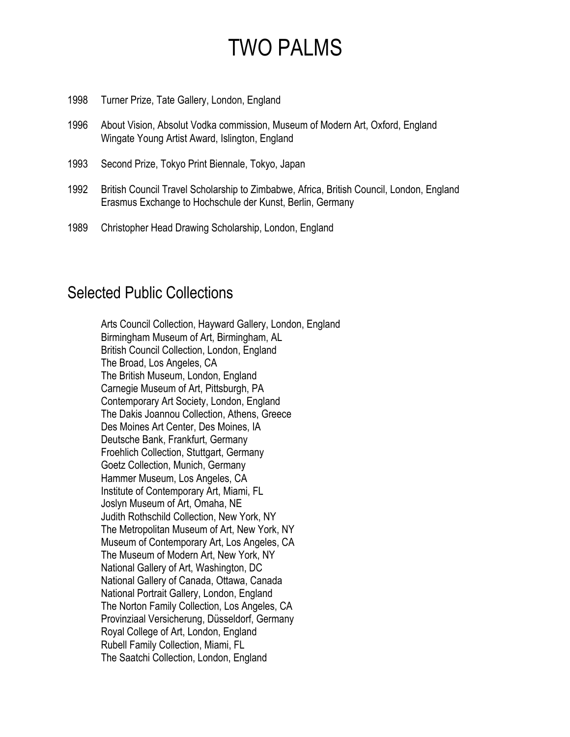- 1998 Turner Prize, Tate Gallery, London, England
- 1996 About Vision, Absolut Vodka commission, Museum of Modern Art, Oxford, England Wingate Young Artist Award, Islington, England
- 1993 Second Prize, Tokyo Print Biennale, Tokyo, Japan
- 1992 British Council Travel Scholarship to Zimbabwe, Africa, British Council, London, England Erasmus Exchange to Hochschule der Kunst, Berlin, Germany
- 1989 Christopher Head Drawing Scholarship, London, England

#### Selected Public Collections

Arts Council Collection, Hayward Gallery, London, England Birmingham Museum of Art, Birmingham, AL British Council Collection, London, England The Broad, Los Angeles, CA The British Museum, London, England Carnegie Museum of Art, Pittsburgh, PA Contemporary Art Society, London, England The Dakis Joannou Collection, Athens, Greece Des Moines Art Center, Des Moines, IA Deutsche Bank, Frankfurt, Germany Froehlich Collection, Stuttgart, Germany Goetz Collection, Munich, Germany Hammer Museum, Los Angeles, CA Institute of Contemporary Art, Miami, FL Joslyn Museum of Art, Omaha, NE Judith Rothschild Collection, New York, NY The Metropolitan Museum of Art, New York, NY Museum of Contemporary Art, Los Angeles, CA The Museum of Modern Art, New York, NY National Gallery of Art, Washington, DC National Gallery of Canada, Ottawa, Canada National Portrait Gallery, London, England The Norton Family Collection, Los Angeles, CA Provinziaal Versicherung, Düsseldorf, Germany Royal College of Art, London, England Rubell Family Collection, Miami, FL The Saatchi Collection, London, England